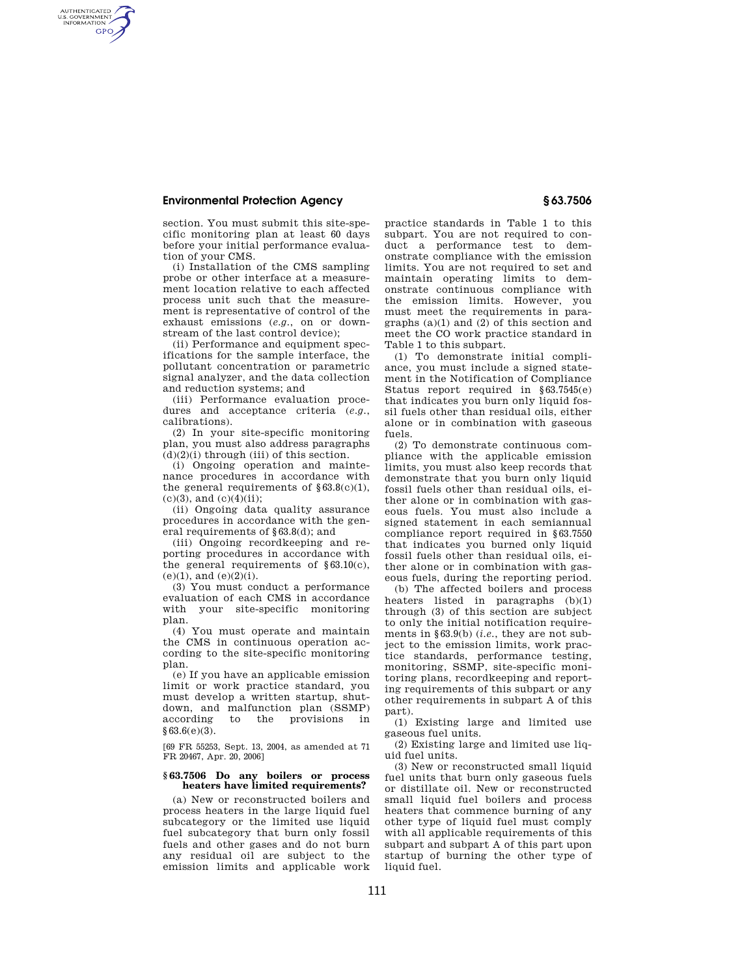## **Environmental Protection Agency § 63.7506**

AUTHENTICATED<br>U.S. GOVERNMENT<br>INFORMATION **GPO** 

> section. You must submit this site-specific monitoring plan at least 60 days before your initial performance evaluation of your CMS.

> (i) Installation of the CMS sampling probe or other interface at a measurement location relative to each affected process unit such that the measurement is representative of control of the exhaust emissions (*e.g.*, on or downstream of the last control device);

> (ii) Performance and equipment specifications for the sample interface, the pollutant concentration or parametric signal analyzer, and the data collection and reduction systems; and

> (iii) Performance evaluation procedures and acceptance criteria (*e.g.*, calibrations).

> (2) In your site-specific monitoring plan, you must also address paragraphs  $(d)(2)(i)$  through  $(iii)$  of this section.

> (i) Ongoing operation and maintenance procedures in accordance with the general requirements of  $§63.8(c)(1)$ ,  $(c)(3)$ , and  $(c)(4)(ii)$ ;

> (ii) Ongoing data quality assurance procedures in accordance with the general requirements of §63.8(d); and

> (iii) Ongoing recordkeeping and reporting procedures in accordance with the general requirements of  $§63.10(c)$ ,  $(e)(1)$ , and  $(e)(2)(i)$ .

> (3) You must conduct a performance evaluation of each CMS in accordance with your site-specific monitoring plan.

> (4) You must operate and maintain the CMS in continuous operation according to the site-specific monitoring plan.

> (e) If you have an applicable emission limit or work practice standard, you must develop a written startup, shutdown, and malfunction plan (SSMP) according to the provisions in to the provisions in §63.6(e)(3).

[69 FR 55253, Sept. 13, 2004, as amended at 71 FR 20467, Apr. 20, 2006]

## **§ 63.7506 Do any boilers or process heaters have limited requirements?**

(a) New or reconstructed boilers and process heaters in the large liquid fuel subcategory or the limited use liquid fuel subcategory that burn only fossil fuels and other gases and do not burn any residual oil are subject to the emission limits and applicable work

practice standards in Table 1 to this subpart. You are not required to conduct a performance test to demonstrate compliance with the emission limits. You are not required to set and maintain operating limits to demonstrate continuous compliance with the emission limits. However, you must meet the requirements in paragraphs (a)(1) and (2) of this section and meet the CO work practice standard in Table 1 to this subpart.

(1) To demonstrate initial compliance, you must include a signed statement in the Notification of Compliance Status report required in §63.7545(e) that indicates you burn only liquid fossil fuels other than residual oils, either alone or in combination with gaseous fuels.

(2) To demonstrate continuous compliance with the applicable emission limits, you must also keep records that demonstrate that you burn only liquid fossil fuels other than residual oils, either alone or in combination with gaseous fuels. You must also include a signed statement in each semiannual compliance report required in §63.7550 that indicates you burned only liquid fossil fuels other than residual oils, either alone or in combination with gaseous fuels, during the reporting period.

(b) The affected boilers and process heaters listed in paragraphs (b)(1) through (3) of this section are subject to only the initial notification requirements in §63.9(b) (*i.e.*, they are not subject to the emission limits, work practice standards, performance testing, monitoring, SSMP, site-specific monitoring plans, recordkeeping and reporting requirements of this subpart or any other requirements in subpart A of this part).

(1) Existing large and limited use gaseous fuel units.

(2) Existing large and limited use liquid fuel units.

(3) New or reconstructed small liquid fuel units that burn only gaseous fuels or distillate oil. New or reconstructed small liquid fuel boilers and process heaters that commence burning of any other type of liquid fuel must comply with all applicable requirements of this subpart and subpart A of this part upon startup of burning the other type of liquid fuel.